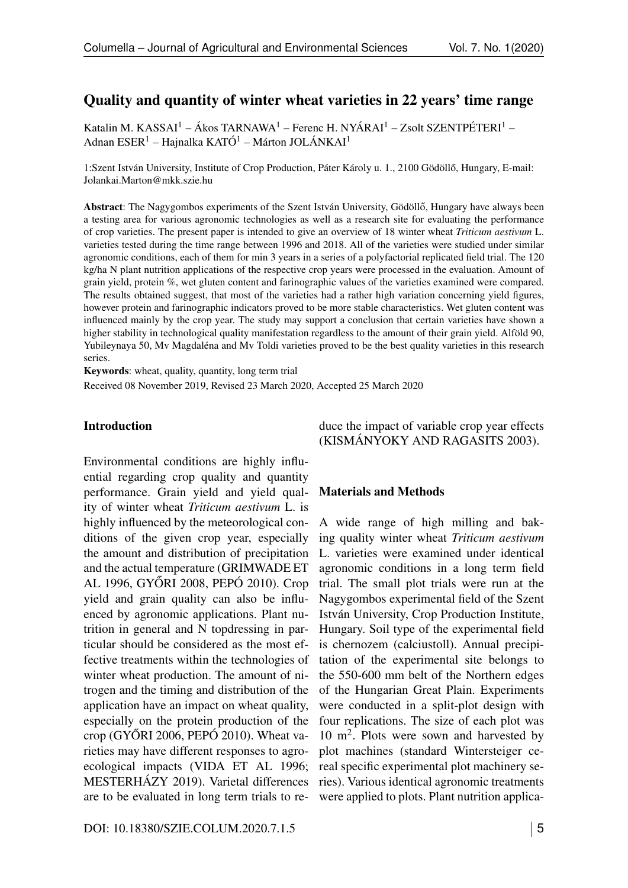## Quality and quantity of winter wheat varieties in 22 years' time range

Katalin M. KASSAI<sup>1</sup> – Ákos TARNAWA<sup>1</sup> – Ferenc H. NYÁRAI<sup>1</sup> – Zsolt SZENTPÉTERI<sup>1</sup> – Adnan ESER<sup>1</sup> – Hajnalka KATÓ<sup>1</sup> – Márton JOLÁNKAI<sup>1</sup>

1:Szent István University, Institute of Crop Production, Páter Károly u. 1., 2100 Gödöllő, Hungary, E-mail: Jolankai.Marton@mkk.szie.hu

Abstract: The Nagygombos experiments of the Szent István University, Gödöllő, Hungary have always been a testing area for various agronomic technologies as well as a research site for evaluating the performance of crop varieties. The present paper is intended to give an overview of 18 winter wheat *Triticum aestivum* L. varieties tested during the time range between 1996 and 2018. All of the varieties were studied under similar agronomic conditions, each of them for min 3 years in a series of a polyfactorial replicated field trial. The 120 kg/ha N plant nutrition applications of the respective crop years were processed in the evaluation. Amount of grain yield, protein %, wet gluten content and farinographic values of the varieties examined were compared. The results obtained suggest, that most of the varieties had a rather high variation concerning yield figures, however protein and farinographic indicators proved to be more stable characteristics. Wet gluten content was influenced mainly by the crop year. The study may support a conclusion that certain varieties have shown a higher stability in technological quality manifestation regardless to the amount of their grain yield. Alföld 90, Yubileynaya 50, Mv Magdaléna and Mv Toldi varieties proved to be the best quality varieties in this research series.

Keywords: wheat, quality, quantity, long term trial

Received 08 November 2019, Revised 23 March 2020, Accepted 25 March 2020

#### Introduction

Environmental conditions are highly influential regarding crop quality and quantity performance. Grain yield and yield quality of winter wheat *Triticum aestivum* L. is highly influenced by the meteorological conditions of the given crop year, especially the amount and distribution of precipitation and the actual temperature (GRIMWADE ET AL 1996, GYŐRI 2008, PEPÓ 2010). Crop yield and grain quality can also be influenced by agronomic applications. Plant nutrition in general and N topdressing in particular should be considered as the most effective treatments within the technologies of winter wheat production. The amount of nitrogen and the timing and distribution of the application have an impact on wheat quality, especially on the protein production of the crop (GYÖRI 2006, PEPÓ 2010). Wheat varieties may have different responses to agroecological impacts (VIDA ET AL 1996; MESTERHÁZY 2019). Varietal differences are to be evaluated in long term trials to reduce the impact of variable crop year effects (KISMÁNYOKY AND RAGASITS 2003).

#### Materials and Methods

A wide range of high milling and baking quality winter wheat *Triticum aestivum* L. varieties were examined under identical agronomic conditions in a long term field trial. The small plot trials were run at the Nagygombos experimental field of the Szent István University, Crop Production Institute, Hungary. Soil type of the experimental field is chernozem (calciustoll). Annual precipitation of the experimental site belongs to the 550-600 mm belt of the Northern edges of the Hungarian Great Plain. Experiments were conducted in a split-plot design with four replications. The size of each plot was  $10 \text{ m}^2$ . Plots were sown and harvested by plot machines (standard Wintersteiger cereal specific experimental plot machinery series). Various identical agronomic treatments were applied to plots. Plant nutrition applica-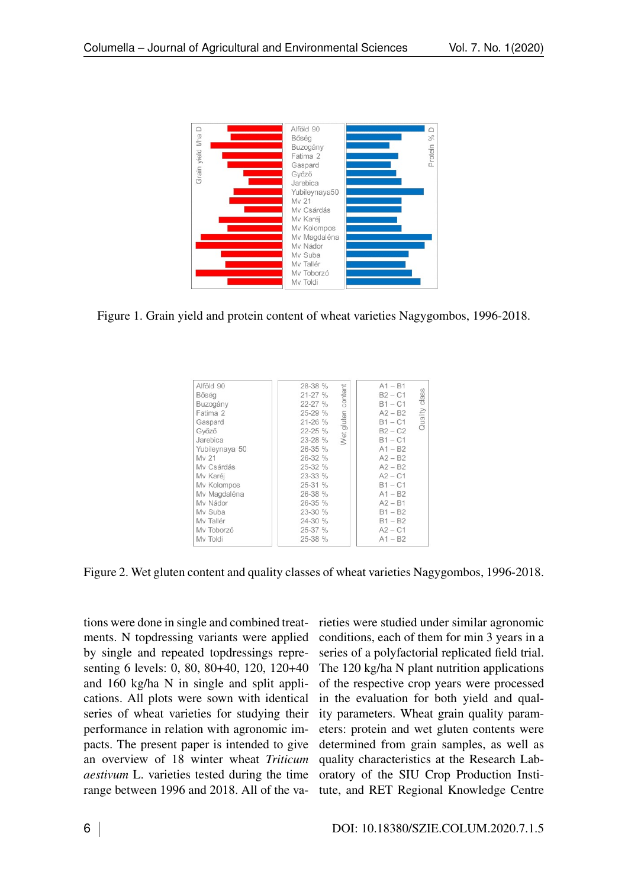

Figure 1. Grain yield and protein content of wheat varieties Nagygombos, 1996-2018.

| Alföld 90      | $A1 - B1$<br>content    |
|----------------|-------------------------|
| Bőség          | $B2 - C1$               |
| Buzogány       | class<br>$B1 - C1$      |
| Fatima 2       | $A2 - B2$               |
| Gaspard        | Quality<br>$B1 - C1$    |
| Győző          | $B2 - C2$               |
| Jarebica       | Wet gluten<br>$B1 - C1$ |
| Yubileynaya 50 | $A1 - B2$               |
| My 21          | $A2 - B2$               |
| My Csárdás     | $A2 - B2$               |
| Mv Karéj       | $A2 - C1$               |
| Mv Kolompos    | $B1 - C1$               |
| Mv Magdaléna   | $A1 - B2$               |
| My Nádor       | $A2 - B1$               |
| My Suba        | $B1 - B2$               |
| My Tallér      | $B1 - B2$               |
| My Toborzó     | $A2 - C1$               |
|                | $A1 - B2$               |
| Mv Toldi       |                         |

Figure 2. Wet gluten content and quality classes of wheat varieties Nagygombos, 1996-2018.

tions were done in single and combined treatments. N topdressing variants were applied by single and repeated topdressings representing 6 levels: 0, 80, 80+40, 120, 120+40 and 160 kg/ha N in single and split applications. All plots were sown with identical series of wheat varieties for studying their performance in relation with agronomic impacts. The present paper is intended to give an overview of 18 winter wheat *Triticum aestivum* L. varieties tested during the time range between 1996 and 2018. All of the varieties were studied under similar agronomic conditions, each of them for min 3 years in a series of a polyfactorial replicated field trial. The 120 kg/ha N plant nutrition applications of the respective crop years were processed in the evaluation for both yield and quality parameters. Wheat grain quality parameters: protein and wet gluten contents were determined from grain samples, as well as quality characteristics at the Research Laboratory of the SIU Crop Production Institute, and RET Regional Knowledge Centre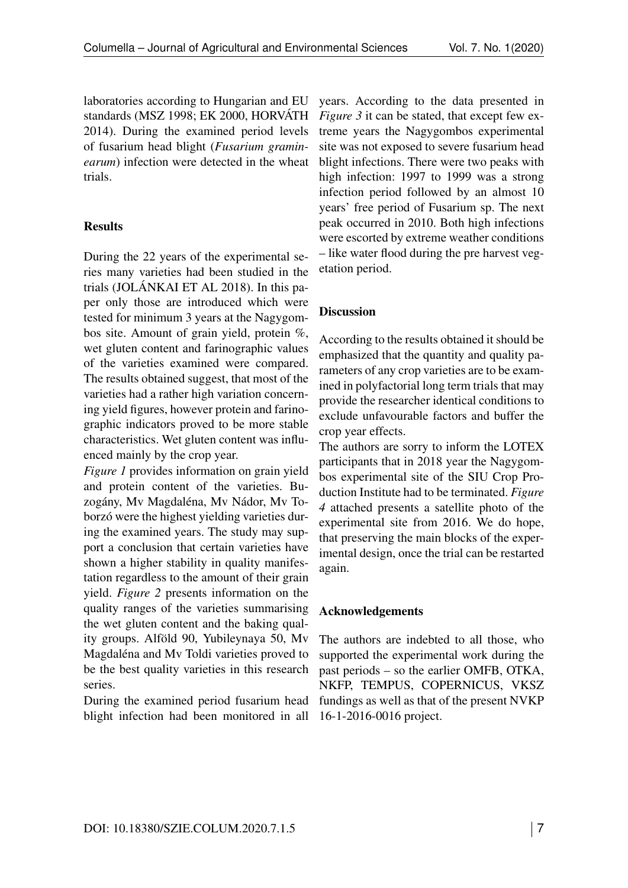laboratories according to Hungarian and EU standards (MSZ 1998; EK 2000, HORVÁTH 2014). During the examined period levels of fusarium head blight (*Fusarium graminearum*) infection were detected in the wheat trials.

## **Results**

During the 22 years of the experimental series many varieties had been studied in the trials (JOLÁNKAI ET AL 2018). In this paper only those are introduced which were tested for minimum 3 years at the Nagygombos site. Amount of grain yield, protein %, wet gluten content and farinographic values of the varieties examined were compared. The results obtained suggest, that most of the varieties had a rather high variation concerning yield figures, however protein and farinographic indicators proved to be more stable characteristics. Wet gluten content was influenced mainly by the crop year.

*Figure [1](#page--1-0)* provides information on grain yield and protein content of the varieties. Buzogány, Mv Magdaléna, Mv Nádor, Mv Toborzó were the highest yielding varieties during the examined years. The study may support a conclusion that certain varieties have shown a higher stability in quality manifestation regardless to the amount of their grain yield. *Figure [2](#page--1-1)* presents information on the quality ranges of the varieties summarising the wet gluten content and the baking quality groups. Alföld 90, Yubileynaya 50, Mv Magdaléna and Mv Toldi varieties proved to be the best quality varieties in this research series.

During the examined period fusarium head blight infection had been monitored in all years. According to the data presented in *Figure [3](#page--1-2)* it can be stated, that except few extreme years the Nagygombos experimental site was not exposed to severe fusarium head blight infections. There were two peaks with high infection: 1997 to 1999 was a strong infection period followed by an almost 10 years' free period of Fusarium sp. The next peak occurred in 2010. Both high infections were escorted by extreme weather conditions – like water flood during the pre harvest vegetation period.

# **Discussion**

According to the results obtained it should be emphasized that the quantity and quality parameters of any crop varieties are to be examined in polyfactorial long term trials that may provide the researcher identical conditions to exclude unfavourable factors and buffer the crop year effects.

The authors are sorry to inform the LOTEX participants that in 2018 year the Nagygombos experimental site of the SIU Crop Production Institute had to be terminated. *Figure [4](#page--1-3)* attached presents a satellite photo of the experimental site from 2016. We do hope, that preserving the main blocks of the experimental design, once the trial can be restarted again.

### Acknowledgements

The authors are indebted to all those, who supported the experimental work during the past periods – so the earlier OMFB, OTKA, NKFP, TEMPUS, COPERNICUS, VKSZ fundings as well as that of the present NVKP 16-1-2016-0016 project.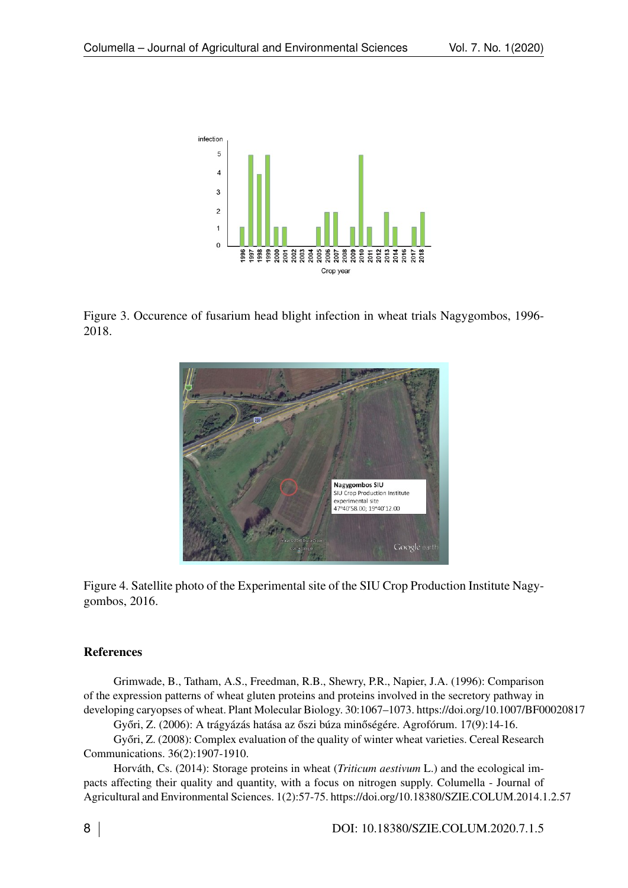

Figure 3. Occurence of fusarium head blight infection in wheat trials Nagygombos, 1996- 2018.



Figure 4. Satellite photo of the Experimental site of the SIU Crop Production Institute Nagygombos, 2016.

### References

Grimwade, B., Tatham, A.S., Freedman, R.B., Shewry, P.R., Napier, J.A. (1996): Comparison of the expression patterns of wheat gluten proteins and proteins involved in the secretory pathway in developing caryopses of wheat. Plant Molecular Biology. 30:1067–1073. https://doi.org/10.1007/BF00020817

Győri, Z. (2006): A trágyázás hatása az őszi búza minőségére. Agrofórum. 17(9):14-16.

Győri, Z. (2008): Complex evaluation of the quality of winter wheat varieties. Cereal Research Communications. 36(2):1907-1910.

Horváth, Cs. (2014): Storage proteins in wheat (*Triticum aestivum* L.) and the ecological impacts affecting their quality and quantity, with a focus on nitrogen supply. Columella - Journal of Agricultural and Environmental Sciences. 1(2):57-75. https://doi.org/10.18380/SZIE.COLUM.2014.1.2.57